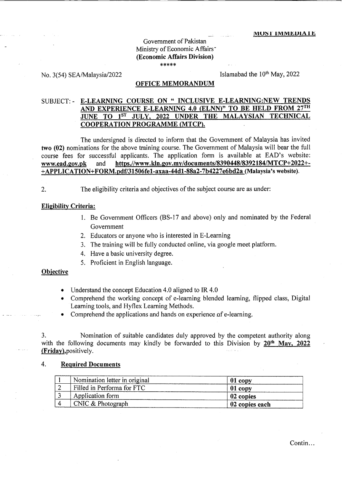# Government of Pakistan Ministry of Economic Affairs<sup>-</sup> (Economic Affairs Division) \*\*\*\*\*

No. 3(54) SEA/Malaysia/2022

Islamabad the 10<sup>th</sup> May, 2022

### **OFFICE MEMORANDUM**

#### E-LEARNING COURSE ON " INCLUSIVE E-LEARNING:NEW TRENDS SUBJECT: -AND EXPERIENCE E-LEARNING 4.0 (ELNN)" TO BE HELD FROM 27TH JUNE TO 1ST JULY, 2022 UNDER THE MALAYSIAN TECHNICAL **COOPERATION PROGRAMME (MTCP).**

The undersigned is directed to inform that the Government of Malaysia has invited two (02) nominations for the above training course. The Government of Malaysia will bear the full course fees for successful applicants. The application form is available at EAD's website: https.//www.kln.gov.my/documents/8390448/8392184/MTCP+2022+and www.ead.gov.pk +APPLICATION+FORM.pdf/31506fe1-axaa-44d1-88a2-7b4227e6bd2a (Malaysia's website).

The eligibility criteria and objectives of the subject course are as under:

### **Eligibility Criteria:**

- 1. Be Government Officers (BS-17 and above) only and nominated by the Federal Government
- 2. Educators or anyone who is interested in E-Learning
- 3. The training will be fully conducted online, via google meet platform.
- 4. Have a basic university degree.
- 5. Proficient in English language.

## **Objective**

 $2.$ 

- Understand the concept Education 4.0 aligned to IR  $4.0$
- Comprehend the working concept of e-learning blended learning, flipped class, Digital  $\bullet$ Learning tools, and Hyflex Learning Methods.
- Comprehend the applications and hands on experience of e-learning.

3. Nomination of suitable candidates duly approved by the competent authority along with the following documents may kindly be forwarded to this Division by  $20^{th}$  May,  $2022$ (Friday), positively.

#### $\overline{4}$ . **Required Documents**

| Nomination letter in original | $01$ copy      |
|-------------------------------|----------------|
| Filled in Performa for FTC    | 01 copy        |
| Application form              | 02 copies      |
| CNIC & Photograph             | 02 copies each |